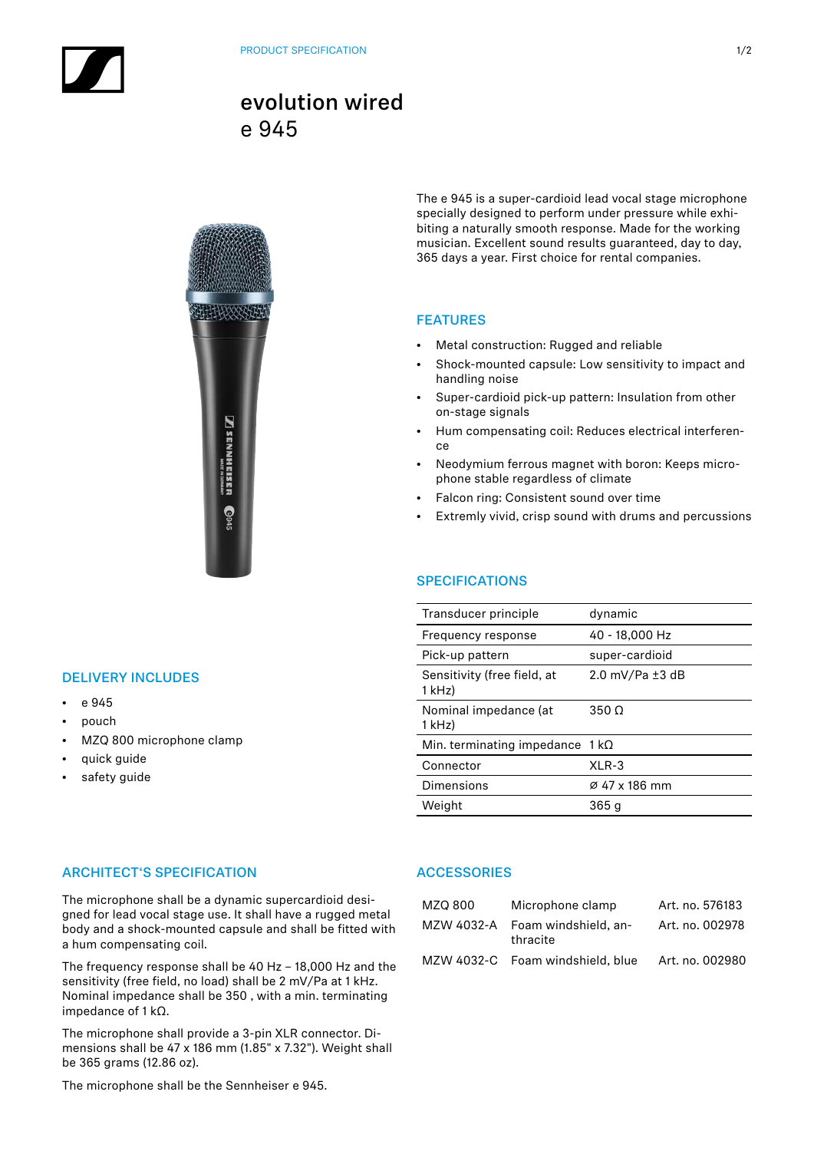# evolution wired e 945



### DELIVERY INCLUDES

- e 945
- pouch
- MZQ 800 microphone clamp
- quick guide
- safety guide

#### The e 945 is a super-cardioid lead vocal stage microphone specially designed to perform under pressure while exhibiting a naturally smooth response. Made for the working musician. Excellent sound results guaranteed, day to day, 365 days a year. First choice for rental companies.

## FEATURES

- Metal construction: Rugged and reliable
- Shock-mounted capsule: Low sensitivity to impact and handling noise
- Super-cardioid pick-up pattern: Insulation from other on-stage signals
- Hum compensating coil: Reduces electrical interference
- Neodymium ferrous magnet with boron: Keeps microphone stable regardless of climate
- Falcon ring: Consistent sound over time
- Extremly vivid, crisp sound with drums and percussions

# **SPECIFICATIONS**

| Transducer principle                   | dynamic                              |
|----------------------------------------|--------------------------------------|
| Frequency response                     | 40 - 18,000 Hz                       |
| Pick-up pattern                        | super-cardioid                       |
| Sensitivity (free field, at<br>1 kHz)  | $2.0 \text{ mV/Pa} \pm 3 \text{ dB}$ |
| Nominal impedance (at<br>$1$ kHz)      | $350 \Omega$                         |
| Min. terminating impedance $1 k\Omega$ |                                      |
| Connector                              | $XLR-3$                              |
| Dimensions                             | Ø 47 x 186 mm                        |
| Weight                                 | 365 q                                |
|                                        |                                      |

### ARCHITECT'S SPECIFICATION

The microphone shall be a dynamic supercardioid designed for lead vocal stage use. It shall have a rugged metal body and a shock-mounted capsule and shall be fitted with a hum compensating coil.

The frequency response shall be 40 Hz – 18,000 Hz and the sensitivity (free field, no load) shall be 2 mV/Pa at 1 kHz. Nominal impedance shall be 350 , with a min. terminating impedance of 1 kΩ.

The microphone shall provide a 3-pin XLR connector. Dimensions shall be 47 x 186 mm (1.85" x 7.32"). Weight shall be 365 grams (12.86 oz).

**ACCESSORIES** 

| MZQ 800 | Microphone clamp                            | Art. no. 576183 |
|---------|---------------------------------------------|-----------------|
|         | MZW 4032-A Foam windshield, an-<br>thracite | Art. no. 002978 |
|         | MZW 4032-C Foam windshield, blue            | Art. no. 002980 |

The microphone shall be the Sennheiser e 945.